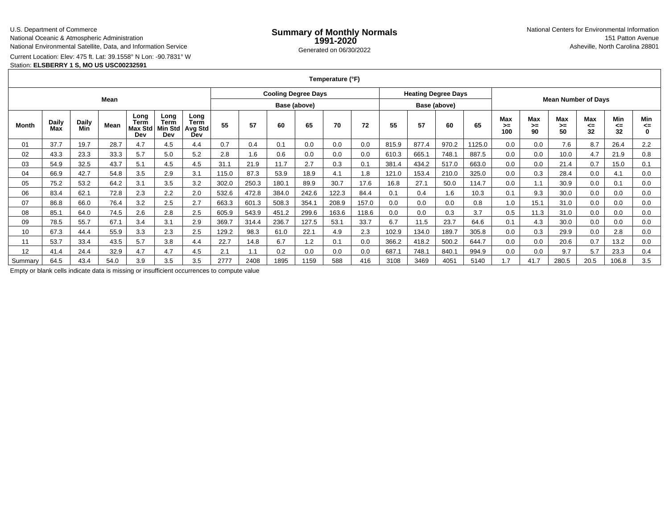### U.S. Department of Commerce

National Oceanic & Atmospheric Administration

National Environmental Satellite, Data, and Information Service

Current Location: Elev: 475 ft. Lat: 39.1558° N Lon: -90.7831° W

## Station: **ELSBERRY 1 S, MO US USC00232591**

**Temperature (°F)**

| Mean    |                     |                     |      |                                |                                |                                              |              | <b>Cooling Degree Days</b> |       |       |       |              | <b>Heating Degree Days</b> |       |       |        | <b>Mean Number of Days</b> |                 |                        |                 |                 |                |
|---------|---------------------|---------------------|------|--------------------------------|--------------------------------|----------------------------------------------|--------------|----------------------------|-------|-------|-------|--------------|----------------------------|-------|-------|--------|----------------------------|-----------------|------------------------|-----------------|-----------------|----------------|
|         |                     |                     |      |                                |                                |                                              | Base (above) |                            |       |       |       | Base (above) |                            |       |       |        |                            |                 |                        |                 |                 |                |
| Month   | <b>Daily</b><br>Max | <b>Daily</b><br>Min | Mean | Long<br>Term<br>Max Std<br>Dev | Long<br>Term<br>Min Std<br>Dev | Long<br><b>Term</b><br><b>Avg Std</b><br>Dev | 55           | 57                         | 60    | 65    | 70    | 72           | 55                         | 57    | 60    | 65     | Max<br>>≕<br>100           | Max<br>≻=<br>90 | <b>Max</b><br>≻=<br>50 | Max<br><=<br>32 | Min<br><=<br>32 | Min<br><=<br>0 |
| 01      | 37.7                | 19.7                | 28.7 | 4.7                            | 4.5                            | 4.4                                          | 0.7          | 0.4                        | 0.1   | 0.0   | 0.0   | 0.0          | 815.9                      | 877.4 | 970.2 | 1125.0 | 0.0                        | 0.0             | 7.6                    | 8.7             | 26.4            | 2.2            |
| 02      | 43.3                | 23.3                | 33.3 | 5.7                            | 5.0                            | 5.2                                          | 2.8          | 1.6                        | 0.6   | 0.0   | 0.0   | 0.0          | 610.3                      | 665.1 | 748.1 | 887.5  | 0.0                        | 0.0             | 10.0                   | 4.7             | 21.9            | 0.8            |
| 03      | 54.9                | 32.5                | 43.7 | 5.1                            | 4.5                            | 4.5                                          | 31.1         | 21.9                       | 11.7  | 2.7   | 0.3   | 0.1          | 381.4                      | 434.2 | 517.0 | 663.0  | 0.0                        | 0.0             | 21.4                   | 0.7             | 15.0            | 0.1            |
| 04      | 66.9                | 42.7                | 54.8 | 3.5                            | 2.9                            | 3.1                                          | 115.0        | 87.3                       | 53.9  | 18.9  | 4.1   | 1.8          | 121.0                      | 153.4 | 210.0 | 325.0  | 0.0                        | 0.3             | 28.4                   | 0.0             | 4.1             | 0.0            |
| 05      | 75.2                | 53.2                | 64.2 | 3.1                            | 3.5                            | 3.2                                          | 302.0        | 250.3                      | 180.1 | 89.9  | 30.7  | 17.6         | 16.8                       | 27.1  | 50.0  | 114.7  | 0.0                        | 1.1             | 30.9                   | 0.0             | 0.1             | 0.0            |
| 06      | 83.4                | 62.1                | 72.8 | 2.3                            | 2.2                            | 2.0                                          | 532.6        | 472.8                      | 384.0 | 242.6 | 122.3 | 84.4         | 0.1                        | 0.4   | 1.6   | 10.3   | 0.1                        | 9.3             | 30.0                   | 0.0             | 0.0             | 0.0            |
| 07      | 86.8                | 66.0                | 76.4 | 3.2                            | 2.5                            | 2.7                                          | 663.3        | 601.3                      | 508.3 | 354.1 | 208.9 | 157.0        | 0.0                        | 0.0   | 0.0   | 0.8    | 1.0                        | 15.1            | 31.0                   | 0.0             | 0.0             | 0.0            |
| 08      | 85.1                | 64.0                | 74.5 | 2.6                            | 2.8                            | 2.5                                          | 605.9        | 543.9                      | 451.2 | 299.6 | 163.6 | 118.6        | 0.0                        | 0.0   | 0.3   | 3.7    | 0.5                        | 11.3            | 31.0                   | 0.0             | 0.0             | 0.0            |
| 09      | 78.5                | 55.7                | 67.1 | 3.4                            | 3.1                            | 2.9                                          | 369.7        | 314.4                      | 236.7 | 127.5 | 53.1  | 33.7         | 6.7                        | 11.5  | 23.7  | 64.6   | 0.1                        | 4.3             | 30.0                   | 0.0             | 0.0             | 0.0            |
| 10      | 67.3                | 44.4                | 55.9 | 3.3                            | 2.3                            | 2.5                                          | 129.2        | 98.3                       | 61.0  | 22.1  | 4.9   | 2.3          | 102.9                      | 134.0 | 189.7 | 305.8  | 0.0                        | 0.3             | 29.9                   | 0.0             | 2.8             | 0.0            |
| 11      | 53.7                | 33.4                | 43.5 | 5.7                            | 3.8                            | 4.4                                          | 22.7         | 14.8                       | 6.7   | 1.2   | 0.1   | 0.0          | 366.2                      | 418.2 | 500.2 | 644.7  | 0.0                        | 0.0             | 20.6                   | 0.7             | 13.2            | 0.0            |
| 12      | 41.4                | 24.4                | 32.9 | 4.7                            | 4.7                            | 4.5                                          | 2.1          | 1.1                        | 0.2   | 0.0   | 0.0   | 0.0          | 687.1                      | 748.1 | 840.1 | 994.9  | 0.0                        | 0.0             | 9.7                    | 5.7             | 23.3            | 0.4            |
| Summary | 64.5                | 43.4                | 54.0 | 3.9                            | 3.5                            | 3.5                                          | 2777         | 2408                       | 1895  | 1159  | 588   | 416          | 3108                       | 3469  | 4051  | 5140   | .7                         | 41.7            | 280.5                  | 20.5            | 106.8           | 3.5            |

Empty or blank cells indicate data is missing or insufficient occurrences to compute value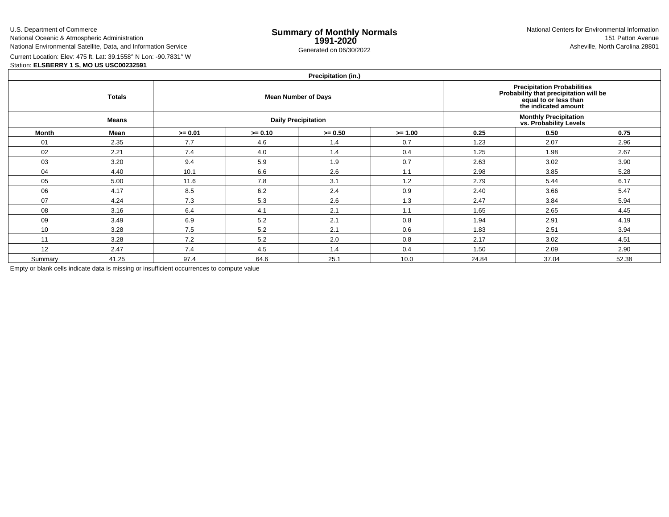U.S. Department of CommerceNational Oceanic & Atmospheric Administration

National Environmental Satellite, Data, and Information Service

e **Summary of Monthly Normals**<br> **1991-2020** 151 Patton Avenue **1991-2020** 1997-2020 e Generated on 06/30/2022 Asheville, North Carolina 28801 National Centers for Environmental Information151 Patton Avenue

Current Location: Elev: 475 ft. Lat: 39.1558° N Lon: -90.7831° W

Station: **ELSBERRY 1 S, MO US USC00232591**

# **Precipitation (in.)**

| $\cdots$     |               |           |           |                                                                                                                               |                                                         |       |       |       |  |  |  |  |
|--------------|---------------|-----------|-----------|-------------------------------------------------------------------------------------------------------------------------------|---------------------------------------------------------|-------|-------|-------|--|--|--|--|
|              | <b>Totals</b> |           |           | <b>Precipitation Probabilities</b><br>Probability that precipitation will be<br>equal to or less than<br>the indicated amount |                                                         |       |       |       |  |  |  |  |
|              | <b>Means</b>  |           |           | <b>Daily Precipitation</b>                                                                                                    | <b>Monthly Precipitation<br/>vs. Probability Levels</b> |       |       |       |  |  |  |  |
| <b>Month</b> | Mean          | $>= 0.01$ | $>= 0.10$ | $>= 0.50$                                                                                                                     | $>= 1.00$                                               | 0.25  | 0.50  | 0.75  |  |  |  |  |
| 01           | 2.35          | 7.7       | 4.6       | 1.4                                                                                                                           | 0.7                                                     | 1.23  | 2.07  | 2.96  |  |  |  |  |
| 02           | 2.21          | 7.4       | 4.0       | 1.4                                                                                                                           | 0.4                                                     | 1.25  | 1.98  | 2.67  |  |  |  |  |
| 03           | 3.20          | 9.4       | 5.9       | 1.9                                                                                                                           | 0.7                                                     | 2.63  | 3.02  | 3.90  |  |  |  |  |
| 04           | 4.40          | 10.1      | 6.6       | 2.6                                                                                                                           | 1.1                                                     | 2.98  | 3.85  | 5.28  |  |  |  |  |
| 05           | 5.00          | 11.6      | 7.8       | 3.1                                                                                                                           | 1.2                                                     | 2.79  | 5.44  | 6.17  |  |  |  |  |
| 06           | 4.17          | 8.5       | 6.2       | 2.4                                                                                                                           | 0.9                                                     | 2.40  | 3.66  | 5.47  |  |  |  |  |
| 07           | 4.24          | 7.3       | 5.3       | 2.6                                                                                                                           | 1.3                                                     | 2.47  | 3.84  | 5.94  |  |  |  |  |
| 08           | 3.16          | 6.4       | 4.1       | 2.1                                                                                                                           | 1.1                                                     | 1.65  | 2.65  | 4.45  |  |  |  |  |
| 09           | 3.49          | 6.9       | 5.2       | 2.1                                                                                                                           | 0.8                                                     | 1.94  | 2.91  | 4.19  |  |  |  |  |
| 10           | 3.28          | 7.5       | 5.2       | 2.1                                                                                                                           | 0.6                                                     | 1.83  | 2.51  | 3.94  |  |  |  |  |
| 11           | 3.28          | 7.2       | 5.2       | 2.0                                                                                                                           | 0.8                                                     | 2.17  | 3.02  | 4.51  |  |  |  |  |
| 12           | 2.47          | 7.4       | 4.5       | 1.4                                                                                                                           | 0.4                                                     | 1.50  | 2.09  | 2.90  |  |  |  |  |
| Summary      | 41.25         | 97.4      | 64.6      | 25.1                                                                                                                          | 10.0                                                    | 24.84 | 37.04 | 52.38 |  |  |  |  |

Empty or blank cells indicate data is missing or insufficient occurrences to compute value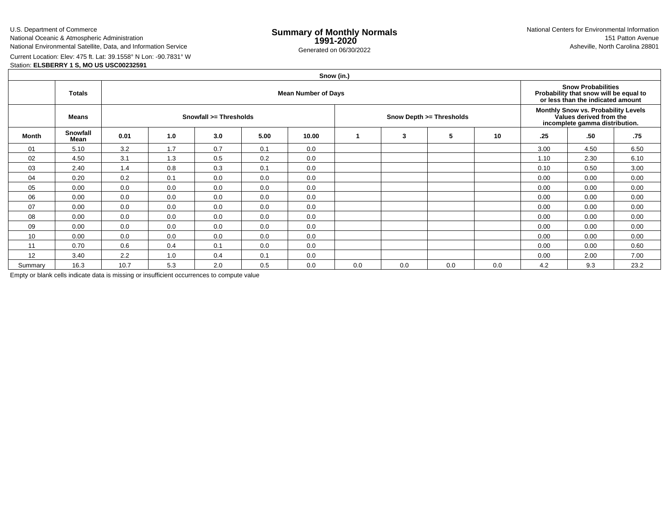U.S. Department of CommerceNational Oceanic & Atmospheric Administration

National Environmental Satellite, Data, and Information Service

e **Summary of Monthly Normals**<br> **1991-2020** 151 Patton Avenue **1991-2020** 1997-2020 e Generated on 06/30/2022 Asheville, North Carolina 28801 National Centers for Environmental Information151 Patton Avenue

Current Location: Elev: 475 ft. Lat: 39.1558° N Lon: -90.7831° W

Station: **ELSBERRY 1 S, MO US USC00232591**

|              | Snow (in.)       |                            |     |     |      |       |             |     |                          |     |                                                                                                  |                                                                                                          |      |  |  |
|--------------|------------------|----------------------------|-----|-----|------|-------|-------------|-----|--------------------------|-----|--------------------------------------------------------------------------------------------------|----------------------------------------------------------------------------------------------------------|------|--|--|
|              | <b>Totals</b>    | <b>Mean Number of Days</b> |     |     |      |       |             |     |                          |     |                                                                                                  | <b>Snow Probabilities</b><br>Probability that snow will be equal to<br>or less than the indicated amount |      |  |  |
|              | Means            | Snowfall >= Thresholds     |     |     |      |       |             |     | Snow Depth >= Thresholds |     | Monthly Snow vs. Probability Levels<br>Values derived from the<br>incomplete gamma distribution. |                                                                                                          |      |  |  |
| <b>Month</b> | Snowfall<br>Mean | 0.01                       | 1.0 | 3.0 | 5.00 | 10.00 | $\mathbf 1$ | 3   | 5                        | 10  | .25                                                                                              | .50                                                                                                      | .75  |  |  |
| 01           | 5.10             | 3.2                        | 1.7 | 0.7 | 0.1  | 0.0   |             |     |                          |     | 3.00                                                                                             | 4.50                                                                                                     | 6.50 |  |  |
| 02           | 4.50             | 3.1                        | 1.3 | 0.5 | 0.2  | 0.0   |             |     |                          |     | 1.10                                                                                             | 2.30                                                                                                     | 6.10 |  |  |
| 03           | 2.40             | 1.4                        | 0.8 | 0.3 | 0.1  | 0.0   |             |     |                          |     | 0.10                                                                                             | 0.50                                                                                                     | 3.00 |  |  |
| 04           | 0.20             | 0.2                        | 0.1 | 0.0 | 0.0  | 0.0   |             |     |                          |     | 0.00                                                                                             | 0.00                                                                                                     | 0.00 |  |  |
| 05           | 0.00             | 0.0                        | 0.0 | 0.0 | 0.0  | 0.0   |             |     |                          |     | 0.00                                                                                             | 0.00                                                                                                     | 0.00 |  |  |
| 06           | 0.00             | 0.0                        | 0.0 | 0.0 | 0.0  | 0.0   |             |     |                          |     | 0.00                                                                                             | 0.00                                                                                                     | 0.00 |  |  |
| 07           | 0.00             | 0.0                        | 0.0 | 0.0 | 0.0  | 0.0   |             |     |                          |     | 0.00                                                                                             | 0.00                                                                                                     | 0.00 |  |  |
| 08           | 0.00             | 0.0                        | 0.0 | 0.0 | 0.0  | 0.0   |             |     |                          |     | 0.00                                                                                             | 0.00                                                                                                     | 0.00 |  |  |
| 09           | 0.00             | 0.0                        | 0.0 | 0.0 | 0.0  | 0.0   |             |     |                          |     | 0.00                                                                                             | 0.00                                                                                                     | 0.00 |  |  |
| 10           | 0.00             | 0.0                        | 0.0 | 0.0 | 0.0  | 0.0   |             |     |                          |     | 0.00                                                                                             | 0.00                                                                                                     | 0.00 |  |  |
| 11           | 0.70             | 0.6                        | 0.4 | 0.1 | 0.0  | 0.0   |             |     |                          |     | 0.00                                                                                             | 0.00                                                                                                     | 0.60 |  |  |
| 12           | 3.40             | 2.2                        | 1.0 | 0.4 | 0.1  | 0.0   |             |     |                          |     | 0.00                                                                                             | 2.00                                                                                                     | 7.00 |  |  |
| Summary      | 16.3             | 10.7                       | 5.3 | 2.0 | 0.5  | 0.0   | 0.0         | 0.0 | 0.0                      | 0.0 | 4.2                                                                                              | 9.3                                                                                                      | 23.2 |  |  |

Empty or blank cells indicate data is missing or insufficient occurrences to compute value